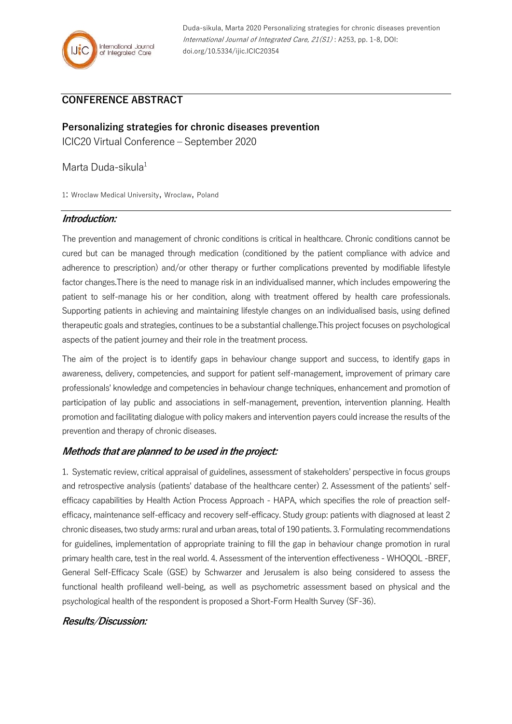

## **CONFERENCE ABSTRACT**

**Personalizing strategies for chronic diseases prevention** ICIC20 Virtual Conference – September 2020

Marta Duda-sikula<sup>1</sup>

1: Wroclaw Medical University, Wroclaw, Poland

## **Introduction:**

The prevention and management of chronic conditions is critical in healthcare. Chronic conditions cannot be cured but can be managed through medication (conditioned by the patient compliance with advice and adherence to prescription) and/or other therapy or further complications prevented by modifiable lifestyle factor changes.There is the need to manage risk in an individualised manner, which includes empowering the patient to self-manage his or her condition, along with treatment offered by health care professionals. Supporting patients in achieving and maintaining lifestyle changes on an individualised basis, using defined therapeutic goals and strategies, continues to be a substantial challenge.This project focuses on psychological aspects of the patient journey and their role in the treatment process.

The aim of the project is to identify gaps in behaviour change support and success, to identify gaps in awareness, delivery, competencies, and support for patient self-management, improvement of primary care professionals' knowledge and competencies in behaviour change techniques, enhancement and promotion of participation of lay public and associations in self-management, prevention, intervention planning. Health promotion and facilitating dialogue with policy makers and intervention payers could increase the results of the prevention and therapy of chronic diseases.

## **Methods that are planned to be used in the project:**

1. Systematic review, critical appraisal of guidelines, assessment of stakeholders' perspective in focus groups and retrospective analysis (patients' database of the healthcare center) 2. Assessment of the patients' selfefficacy capabilities by Health Action Process Approach - HAPA, which specifies the role of preaction selfefficacy, maintenance self-efficacy and recovery self-efficacy. Study group: patients with diagnosed at least 2 chronic diseases, two study arms: rural and urban areas, total of 190 patients. 3. Formulating recommendations for guidelines, implementation of appropriate training to fill the gap in behaviour change promotion in rural primary health care, test in the real world. 4. Assessment of the intervention effectiveness - WHOQOL -BREF, General Self-Efficacy Scale (GSE) by Schwarzer and Jerusalem is also being considered to assess the functional health profileand well-being, as well as psychometric assessment based on physical and the psychological health of the respondent is proposed a Short-Form Health Survey (SF-36).

## **Results/Discussion:**